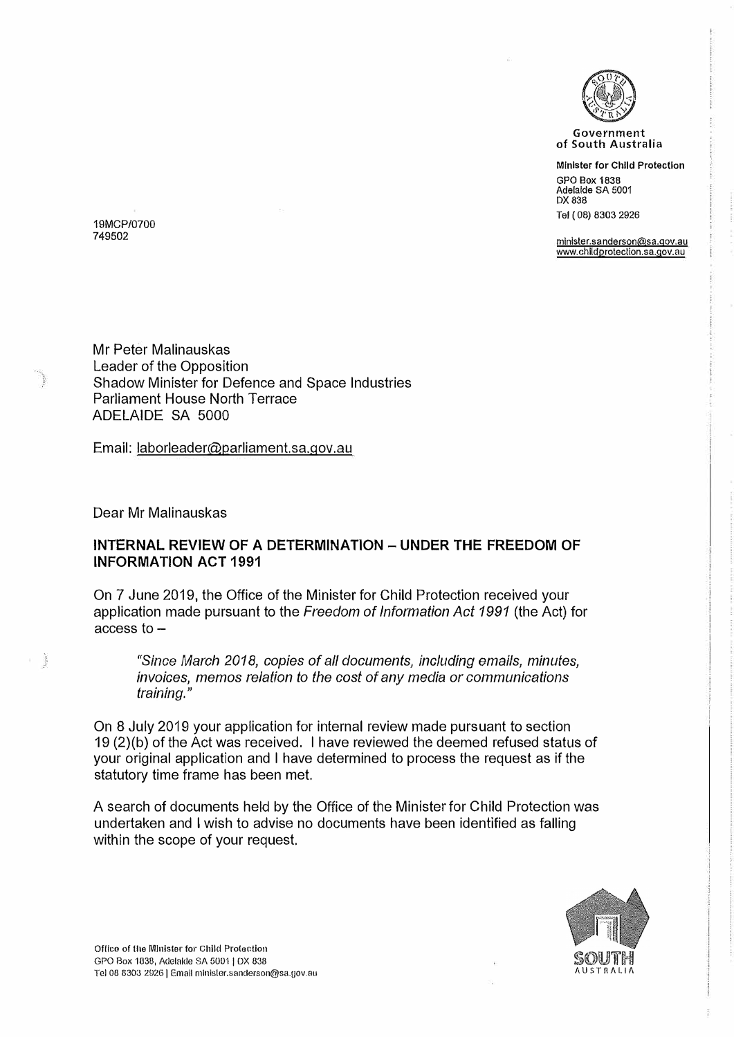

**Government**  of South Australia

**Minister for Child Protection**  GPO Box 1838 Adelaide SA 5001 DX 838 Tel ( 08) 8303 2926

**minister.sanderson@sa.gov.au www.chlldprotection.sa.gov.au** 

19MCP/0700 749502

Mr Peter Malinauskas Leader of the Opposition Shadow Minister for Defence and Space Industries Parliament House North Terrace ADELAIDE SA 5000

Email: laborleader@parliament.sa.gov.au

Dear Mr Malinauskas

温

## **INTERNAL REVIEW OF A DETERMINATION - UNDER THE FREEDOM OF INFORMATION ACT 1991**

On 7 June 2019, the Office of the Minister for Child Protection received your application made pursuant to the *Freedom of Information Act 1991* (the Act) for access to-

*"Since March 2018, copies of all documents, including emails, minutes, invoices, memos relation to the cost of any media or communications training."* 

On 8 July 2019 your application for internal review made pursuant to section 19 (2)(b) of the *Act* was received. I have reviewed the deemed refused status of your original application and I have determined to process the request as if the statutory time frame has been met.

A search of documents held by the Office of the Minister for Child Protection was undertaken and I wish to advise no documents have been identified as falling within the scope of your request.

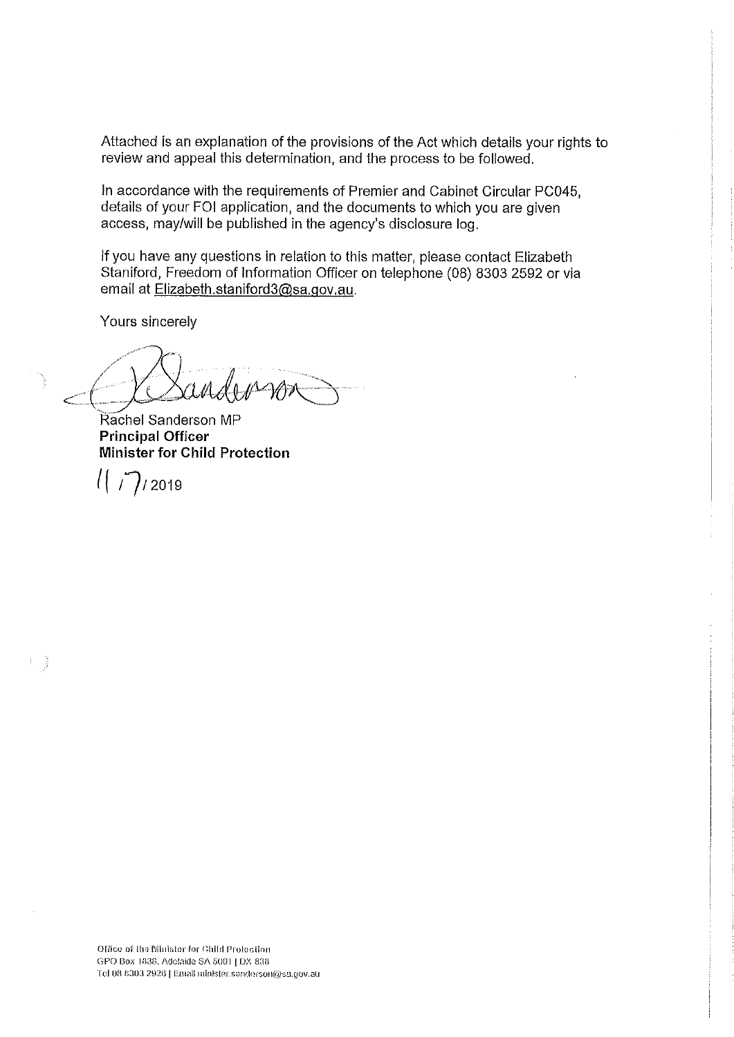Attached is an explanation of the provisions of the Act which details your rights to review and appeal this determination, and the process to be followed.

In accordance with the requirements of Premier and Cabinet Circular PC045, details of your FOI application, and the documents to which you are given access, may/will be published in the agency's disclosure log.

If you have any questions in relation to this matter, please contact Elizabeth Staniford, Freedom of Information Officer on telephone (08) 8303 2592 or via email at Elizabeth.staniford3@sa.gov.au.

Yours sincerely

Rachel Sanderson MP **Principal Officer** Minister for Child Protection

 $1/7/2019$ 

1)

Office of the Minister for Child Protection GPO Box 1838, Adelaide SA 5001 | DX 838 Tel 08 8303 2926 | Email minister.sanderson@sa.gov.au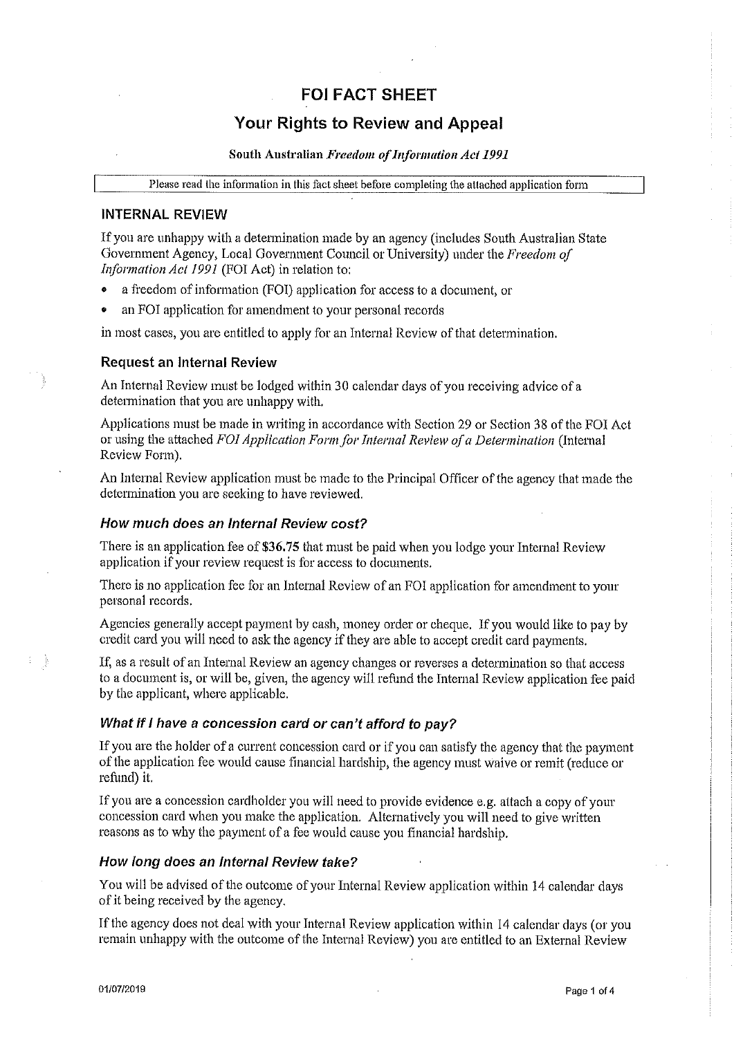# **FOI FACT SHEET**

# **Your Rights to Review and Appeal**

#### South Australian Freedom of Information Act 1991

Please read the information in this fact sheet before completing the attached application form

#### **INTERNAL REVIEW**

If you are unhappy with a determination made by an agency (includes South Australian State Government Agency, Local Government Council or University) under the Freedom of Information Act 1991 (FOI Act) in relation to:

- a freedom of information (FOI) application for access to a document, or
- an FOI application for amendment to your personal records

in most cases, you are entitled to apply for an Internal Review of that determination.

#### **Request an Internal Review**

An Internal Review must be lodged within 30 calendar days of you receiving advice of a determination that you are unhappy with.

Applications must be made in writing in accordance with Section 29 or Section 38 of the FOI Act or using the attached FOI Application Form for Internal Review of a Determination (Internal Review Form).

An Internal Review application must be made to the Principal Officer of the agency that made the determination you are seeking to have reviewed.

### How much does an Internal Review cost?

There is an application fee of \$36.75 that must be paid when you lodge your Internal Review application if your review request is for access to documents.

There is no application fee for an Internal Review of an FOI application for amendment to your personal records.

Agencies generally accept payment by cash, money order or cheque. If you would like to pay by credit card you will need to ask the agency if they are able to accept credit card payments.

If, as a result of an Internal Review an agency changes or reverses a determination so that access to a document is, or will be, given, the agency will refund the Internal Review application fee paid by the applicant, where applicable.

### What if I have a concession card or can't afford to pay?

If you are the holder of a current concession card or if you can satisfy the agency that the payment of the application fee would cause financial hardship, the agency must waive or remit (reduce or refund) it.

If you are a concession cardholder you will need to provide evidence e.g. attach a copy of your concession card when you make the application. Alternatively you will need to give written reasons as to why the payment of a fee would cause you financial hardship.

### How long does an Internal Review take?

You will be advised of the outcome of your Internal Review application within 14 calendar days of it being received by the agency.

If the agency does not deal with your Internal Review application within 14 calendar days (or you remain unhappy with the outcome of the Internal Review) you are entitled to an External Review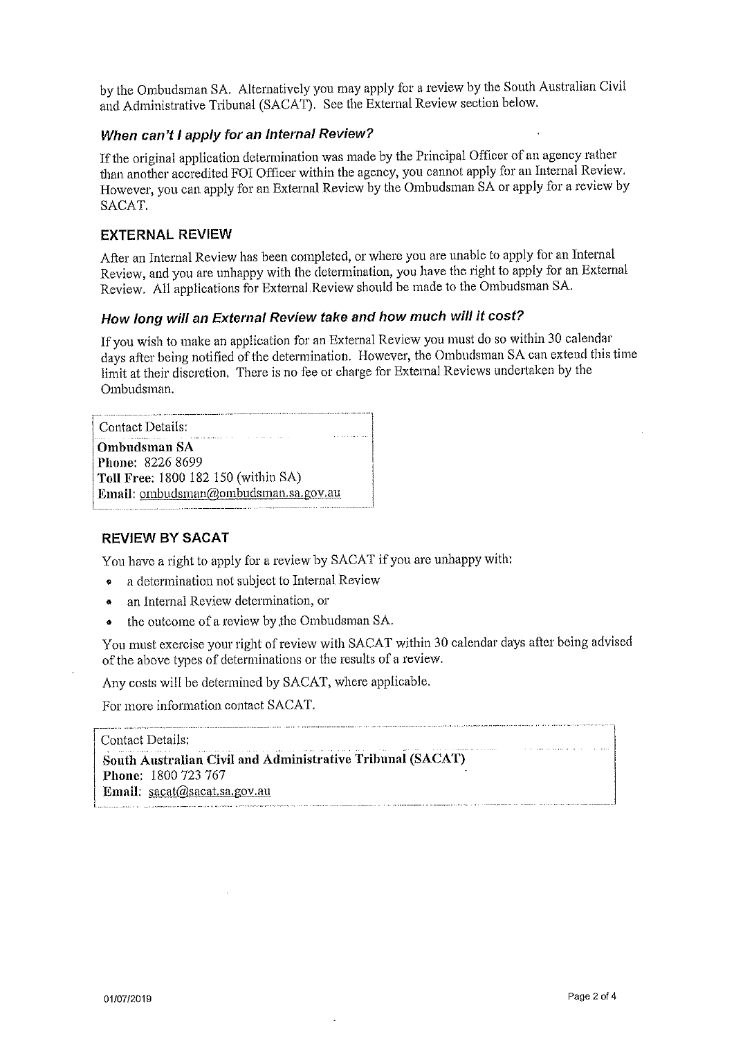by the Ombudsman SA. Alternatively you may apply for a review by the South Australian Civil and Administrative Tribunal (SACAT). See the External Review section below.

## When can't I apply for an Internal Review?

If the original application determination was made by the Principal Officer of an agency rather than another accredited FOI Officer within the agency, you cannot apply for an Internal Review. However, you can apply for an External Review by the Ombudsman SA or apply for a review by SACAT.

## **EXTERNAL REVIEW**

After an Internal Review has been completed, or where you are unable to apply for an Internal Review, and you are unhappy with the determination, you have the right to apply for an External Review. All applications for External Review should be made to the Ombudsman SA.

# How long will an External Review take and how much will it cost?

If you wish to make an application for an External Review you must do so within 30 calendar days after being notified of the determination. However, the Ombudsman SA can extend this time limit at their discretion. There is no fee or charge for External Reviews undertaken by the Ombudsman.

Contact Details: **Ombudsman SA** Phone: 8226 8699 Toll Free: 1800 182 150 (within SA) Email: ombudsman@ombudsman.sa.gov.au

### **REVIEW BY SACAT**

You have a right to apply for a review by SACAT if you are unhappy with:

- a determination not subject to Internal Review
- an Internal Review determination, or  $\bullet$
- the outcome of a review by the Ombudsman SA.

You must exercise your right of review with SACAT within 30 calendar days after being advised of the above types of determinations or the results of a review.

Any costs will be determined by SACAT, where applicable.

For more information contact SACAT.

#### Contact Details:

South Australian Civil and Administrative Tribunal (SACAT) Phone: 1800 723 767 Email: sacat@sacat.sa.gov.au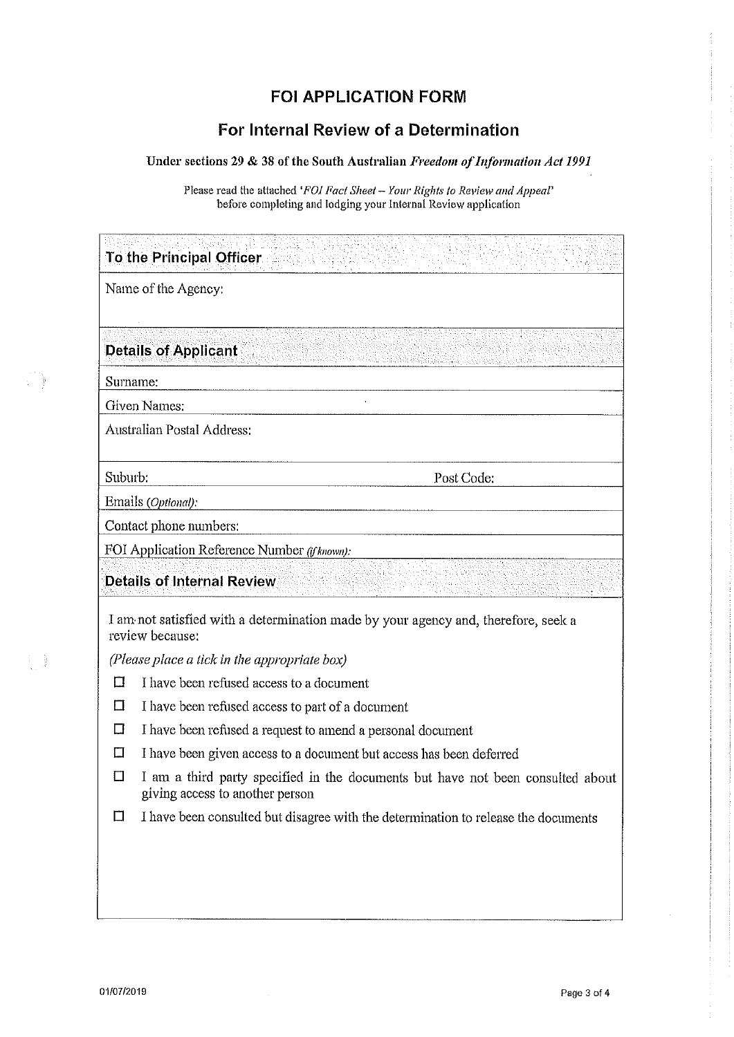# **FOI APPLICATION FORM**

# For Internal Review of a Determination

### Under sections 29 & 38 of the South Australian Freedom of Information Act 1991

Please read the attached 'FOI Fact Sheet - Your Rights to Review and Appeal' before completing and lodging your Internal Review application

| To the Principal Officer                     |                                                                                                                    |  |  |  |  |
|----------------------------------------------|--------------------------------------------------------------------------------------------------------------------|--|--|--|--|
| Name of the Agency:                          |                                                                                                                    |  |  |  |  |
|                                              | <b>Details of Applicant</b>                                                                                        |  |  |  |  |
| Surname:                                     |                                                                                                                    |  |  |  |  |
|                                              | Given Names:                                                                                                       |  |  |  |  |
|                                              | <b>Australian Postal Address:</b>                                                                                  |  |  |  |  |
| Suburb:                                      | Post Code:                                                                                                         |  |  |  |  |
| Emails (Optional):                           |                                                                                                                    |  |  |  |  |
| Contact phone numbers:                       |                                                                                                                    |  |  |  |  |
| FOI Application Reference Number ((fknown):  |                                                                                                                    |  |  |  |  |
| <b>Details of Internal Review</b>            |                                                                                                                    |  |  |  |  |
|                                              | I am not satisfied with a determination made by your agency and, therefore, seek a<br>review because:              |  |  |  |  |
| (Please place a tick in the appropriate box) |                                                                                                                    |  |  |  |  |
| □                                            | I have been refused access to a document                                                                           |  |  |  |  |
| Π                                            | I have been refused access to part of a document                                                                   |  |  |  |  |
| □                                            | I have been refused a request to amend a personal document                                                         |  |  |  |  |
| Ω                                            | I have been given access to a document but access has been deferred                                                |  |  |  |  |
| П                                            | I am a third party specified in the documents but have not been consulted about<br>giving access to another person |  |  |  |  |
| П                                            | I have been consulted but disagree with the determination to release the documents                                 |  |  |  |  |

**C** 

4 }